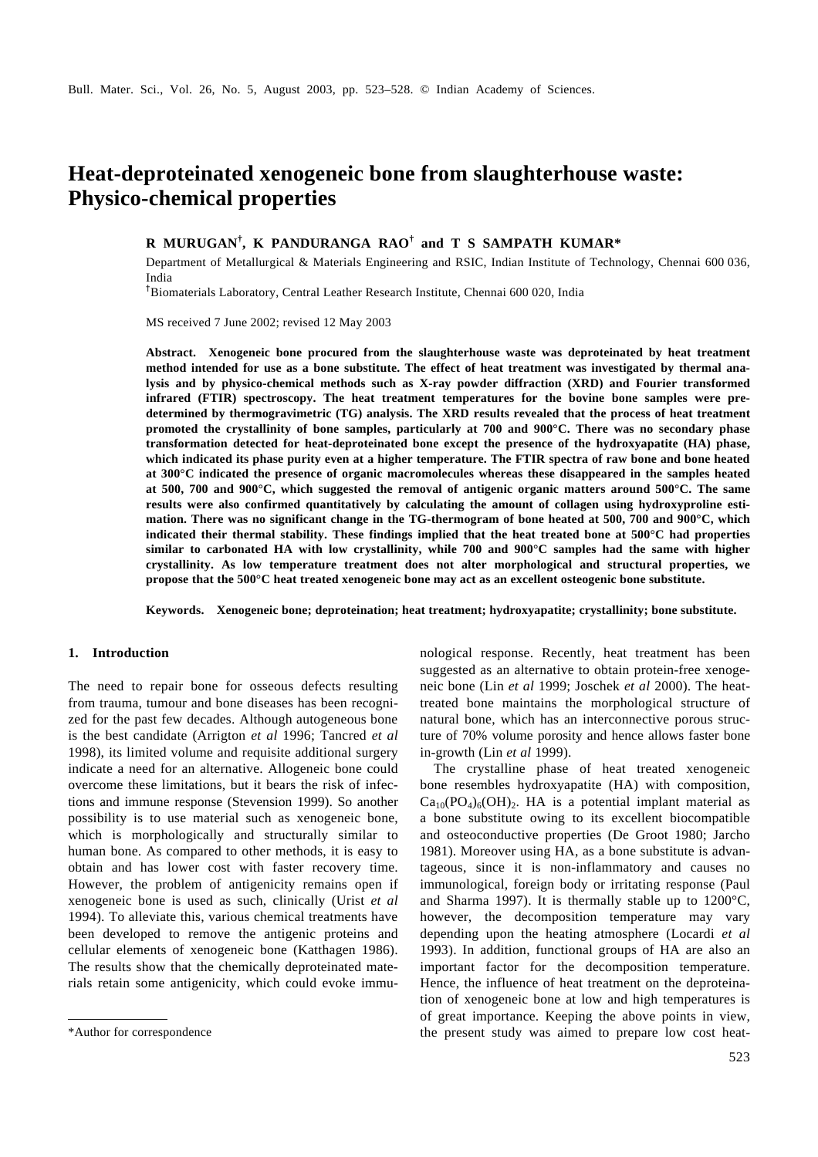# **Heat-deproteinated xenogeneic bone from slaughterhouse waste: Physico-chemical properties**

# **R MURUGAN† , K PANDURANGA RAO † and T S SAMPATH KUMAR\***

Department of Metallurgical & Materials Engineering and RSIC, Indian Institute of Technology, Chennai 600 036, India

†Biomaterials Laboratory, Central Leather Research Institute, Chennai 600 020, India

MS received 7 June 2002; revised 12 May 2003

**Abstract. Xenogeneic bone procured from the slaughterhouse waste was deproteinated by heat treatment method intended for use as a bone substitute. The effect of heat treatment was investigated by thermal analysis and by physico-chemical methods such as X-ray powder diffraction (XRD) and Fourier transformed infrared (FTIR) spectroscopy. The heat treatment temperatures for the bovine bone samples were predetermined by thermogravimetric (TG) analysis. The XRD results revealed that the process of heat treatment promoted the crystallinity of bone samples, particularly at 700 and 900°C. There was no secondary phase transformation detected for heat-deproteinated bone except the presence of the hydroxyapatite (HA) phase, which indicated its phase purity even at a higher temperature. The FTIR spectra of raw bone and bone heated at 300°C indicated the presence of organic macromolecules whereas these disappeared in the samples heated at 500, 700 and 900°C, which suggested the removal of antigenic organic matters around 500°C. The same results were also confirmed quantitatively by calculating the amount of collagen using hydroxyproline estimation. There was no significant change in the TG-thermogram of bone heated at 500, 700 and 900°C, which indicated their thermal stability. These findings implied that the heat treated bone at 500°C had properties similar to carbonated HA with low crystallinity, while 700 and 900°C samples had the same with higher crystallinity. As low temperature treatment does not alter morphological and structural properties, we propose that the 500°C heat treated xenogeneic bone may act as an excellent osteogenic bone substitute.**

**Keywords. Xenogeneic bone; deproteination; heat treatment; hydroxyapatite; crystallinity; bone substitute.**

# **1. Introduction**

The need to repair bone for osseous defects resulting from trauma, tumour and bone diseases has been recognized for the past few decades. Although autogeneous bone is the best candidate (Arrigton *et al* 1996; Tancred *et al* 1998), its limited volume and requisite additional surgery indicate a need for an alternative. Allogeneic bone could overcome these limitations, but it bears the risk of infections and immune response (Stevension 1999). So another possibility is to use material such as xenogeneic bone, which is morphologically and structurally similar to human bone. As compared to other methods, it is easy to obtain and has lower cost with faster recovery time. However, the problem of antigenicity remains open if xenogeneic bone is used as such, clinically (Urist *et al* 1994). To alleviate this, various chemical treatments have been developed to remove the antigenic proteins and cellular elements of xenogeneic bone (Katthagen 1986). The results show that the chemically deproteinated materials retain some antigenicity, which could evoke immunological response. Recently, heat treatment has been suggested as an alternative to obtain protein-free xenogeneic bone (Lin *et al* 1999; Joschek *et al* 2000). The heattreated bone maintains the morphological structure of natural bone, which has an interconnective porous structure of 70% volume porosity and hence allows faster bone in-growth (Lin *et al* 1999).

The crystalline phase of heat treated xenogeneic bone resembles hydroxyapatite (HA) with composition,  $Ca_{10}(PO_4)_6(OH)_2$ . HA is a potential implant material as a bone substitute owing to its excellent biocompatible and osteoconductive properties (De Groot 1980; Jarcho 1981). Moreover using HA, as a bone substitute is advantageous, since it is non-inflammatory and causes no immunological, foreign body or irritating response (Paul and Sharma 1997). It is thermally stable up to 1200°C, however, the decomposition temperature may vary depending upon the heating atmosphere (Locardi *et al* 1993). In addition, functional groups of HA are also an important factor for the decomposition temperature. Hence, the influence of heat treatment on the deproteination of xenogeneic bone at low and high temperatures is of great importance. Keeping the above points in view, \*Author for correspondence the present study was aimed to prepare low cost heat-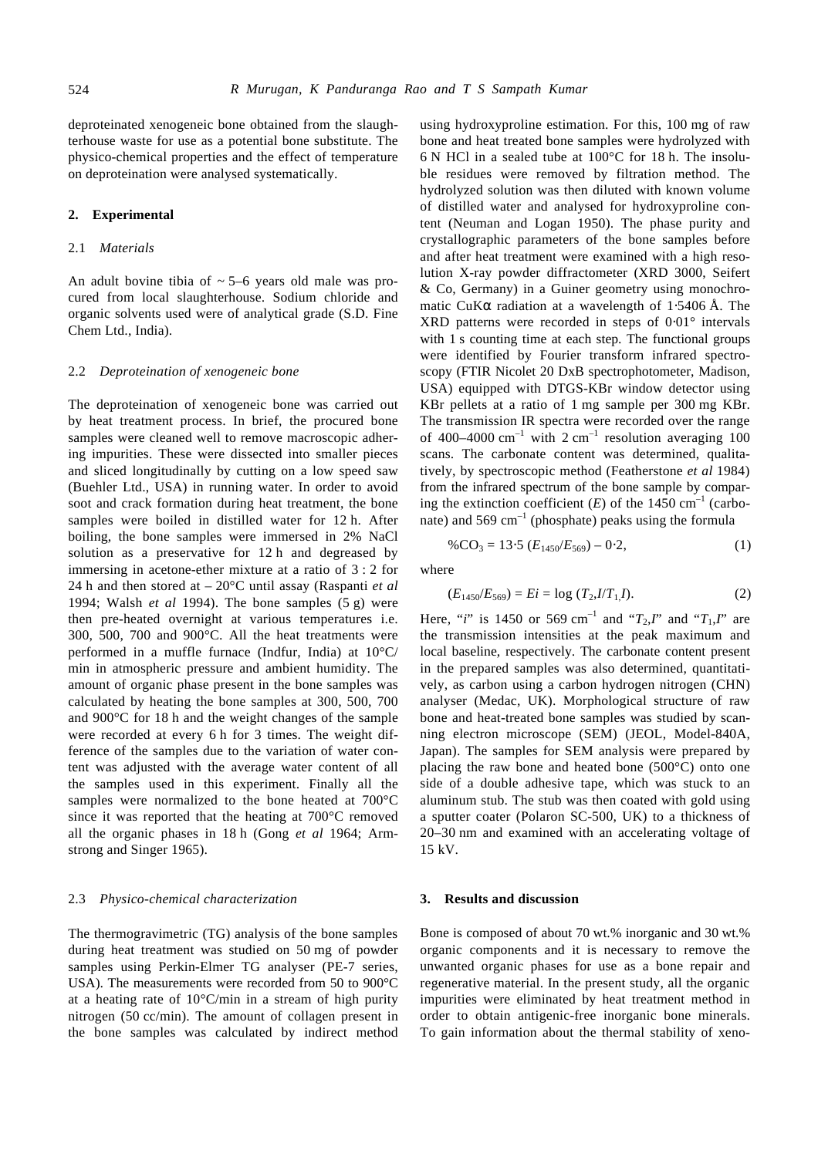deproteinated xenogeneic bone obtained from the slaughterhouse waste for use as a potential bone substitute. The physico-chemical properties and the effect of temperature on deproteination were analysed systematically.

#### **2. Experimental**

## 2.1 *Materials*

An adult bovine tibia of  $\sim$  5–6 years old male was procured from local slaughterhouse. Sodium chloride and organic solvents used were of analytical grade (S.D. Fine Chem Ltd., India).

#### 2.2 *Deproteination of xenogeneic bone*

The deproteination of xenogeneic bone was carried out by heat treatment process. In brief, the procured bone samples were cleaned well to remove macroscopic adhering impurities. These were dissected into smaller pieces and sliced longitudinally by cutting on a low speed saw (Buehler Ltd., USA) in running water. In order to avoid soot and crack formation during heat treatment, the bone samples were boiled in distilled water for 12 h. After boiling, the bone samples were immersed in 2% NaCl solution as a preservative for 12 h and degreased by immersing in acetone-ether mixture at a ratio of 3 : 2 for 24 h and then stored at – 20°C until assay (Raspanti *et al* 1994; Walsh *et al* 1994). The bone samples (5 g) were then pre-heated overnight at various temperatures i.e. 300, 500, 700 and 900°C. All the heat treatments were performed in a muffle furnace (Indfur, India) at 10°C/ min in atmospheric pressure and ambient humidity. The amount of organic phase present in the bone samples was calculated by heating the bone samples at 300, 500, 700 and 900°C for 18 h and the weight changes of the sample were recorded at every 6 h for 3 times. The weight difference of the samples due to the variation of water content was adjusted with the average water content of all the samples used in this experiment. Finally all the samples were normalized to the bone heated at 700°C since it was reported that the heating at 700°C removed all the organic phases in 18 h (Gong *et al* 1964; Armstrong and Singer 1965).

#### 2.3 *Physico-chemical characterization*

The thermogravimetric (TG) analysis of the bone samples during heat treatment was studied on 50 mg of powder samples using Perkin-Elmer TG analyser (PE-7 series, USA). The measurements were recorded from 50 to 900°C at a heating rate of 10°C/min in a stream of high purity nitrogen (50 cc/min). The amount of collagen present in the bone samples was calculated by indirect method using hydroxyproline estimation. For this, 100 mg of raw bone and heat treated bone samples were hydrolyzed with 6 N HCl in a sealed tube at 100°C for 18 h. The insoluble residues were removed by filtration method. The hydrolyzed solution was then diluted with known volume of distilled water and analysed for hydroxyproline content (Neuman and Logan 1950). The phase purity and crystallographic parameters of the bone samples before and after heat treatment were examined with a high resolution X-ray powder diffractometer (XRD 3000, Seifert & Co, Germany) in a Guiner geometry using monochromatic CuK*a* radiation at a wavelength of 1⋅5406 Å. The XRD patterns were recorded in steps of 0⋅01° intervals with 1 s counting time at each step. The functional groups were identified by Fourier transform infrared spectroscopy (FTIR Nicolet 20 DxB spectrophotometer, Madison, USA) equipped with DTGS-KBr window detector using KBr pellets at a ratio of 1 mg sample per 300 mg KBr. The transmission IR spectra were recorded over the range of 400–4000  $\text{cm}^{-1}$  with 2  $\text{cm}^{-1}$  resolution averaging 100 scans. The carbonate content was determined, qualitatively, by spectroscopic method (Featherstone *et al* 1984) from the infrared spectrum of the bone sample by comparing the extinction coefficient  $(E)$  of the 1450 cm<sup>-1</sup> (carbonate) and  $569 \text{ cm}^{-1}$  (phosphate) peaks using the formula

$$
\%CO_3 = 13.5 (E_{1450}/E_{569}) - 0.2,
$$
 (1)

where

$$
(E_{1450}/E_{569}) = E_i = \log (T_2 I/T_1 I). \tag{2}
$$

Here, "*i*" is 1450 or 569 cm<sup>-1</sup> and " $T_2$ ,*I*" and " $T_1$ ,*I*" are the transmission intensities at the peak maximum and local baseline, respectively. The carbonate content present in the prepared samples was also determined, quantitatively, as carbon using a carbon hydrogen nitrogen (CHN) analyser (Medac, UK). Morphological structure of raw bone and heat-treated bone samples was studied by scanning electron microscope (SEM) (JEOL, Model-840A, Japan). The samples for SEM analysis were prepared by placing the raw bone and heated bone (500°C) onto one side of a double adhesive tape, which was stuck to an aluminum stub. The stub was then coated with gold using a sputter coater (Polaron SC-500, UK) to a thickness of 20–30 nm and examined with an accelerating voltage of 15 kV.

#### **3. Results and discussion**

Bone is composed of about 70 wt.% inorganic and 30 wt.% organic components and it is necessary to remove the unwanted organic phases for use as a bone repair and regenerative material. In the present study, all the organic impurities were eliminated by heat treatment method in order to obtain antigenic-free inorganic bone minerals. To gain information about the thermal stability of xeno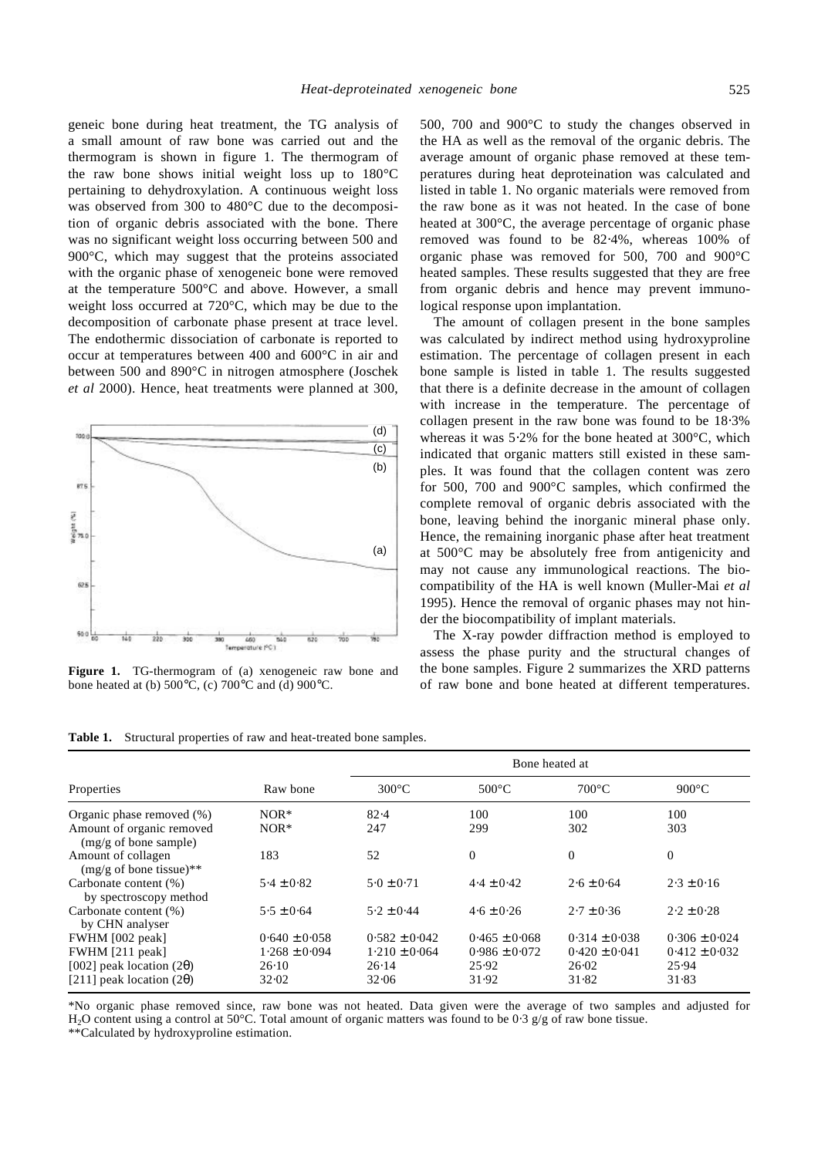geneic bone during heat treatment, the TG analysis of a small amount of raw bone was carried out and the thermogram is shown in figure 1. The thermogram of the raw bone shows initial weight loss up to 180°C pertaining to dehydroxylation. A continuous weight loss was observed from 300 to 480°C due to the decomposition of organic debris associated with the bone. There was no significant weight loss occurring between 500 and 900°C, which may suggest that the proteins associated with the organic phase of xenogeneic bone were removed at the temperature 500°C and above. However, a small weight loss occurred at 720°C, which may be due to the decomposition of carbonate phase present at trace level. The endothermic dissociation of carbonate is reported to occur at temperatures between 400 and 600°C in air and between 500 and 890°C in nitrogen atmosphere (Joschek *et al* 2000). Hence, heat treatments were planned at 300,



**Figure 1.** TG-thermogram of (a) xenogeneic raw bone and bone heated at (b)  $500^{\circ}$ C, (c)  $700^{\circ}$ C and (d)  $900^{\circ}$ C.

500, 700 and 900°C to study the changes observed in the HA as well as the removal of the organic debris. The average amount of organic phase removed at these temperatures during heat deproteination was calculated and listed in table 1. No organic materials were removed from the raw bone as it was not heated. In the case of bone heated at 300°C, the average percentage of organic phase removed was found to be 82⋅4%, whereas 100% of organic phase was removed for 500, 700 and 900°C heated samples. These results suggested that they are free from organic debris and hence may prevent immunological response upon implantation.

The amount of collagen present in the bone samples was calculated by indirect method using hydroxyproline estimation. The percentage of collagen present in each bone sample is listed in table 1. The results suggested that there is a definite decrease in the amount of collagen with increase in the temperature. The percentage of collagen present in the raw bone was found to be 18⋅3% whereas it was 5⋅2% for the bone heated at 300°C, which indicated that organic matters still existed in these samples. It was found that the collagen content was zero for 500, 700 and 900°C samples, which confirmed the complete removal of organic debris associated with the bone, leaving behind the inorganic mineral phase only. Hence, the remaining inorganic phase after heat treatment at 500°C may be absolutely free from antigenicity and may not cause any immunological reactions. The biocompatibility of the HA is well known (Muller-Mai *et al* 1995). Hence the removal of organic phases may not hinder the biocompatibility of implant materials.

The X-ray powder diffraction method is employed to assess the phase purity and the structural changes of the bone samples. Figure 2 summarizes the XRD patterns of raw bone and bone heated at different temperatures.

| Table 1. Structural properties of raw and heat-treated bone samples. |  |
|----------------------------------------------------------------------|--|
|----------------------------------------------------------------------|--|

|                                                              |                   | Bone heated at    |                   |                   |                   |
|--------------------------------------------------------------|-------------------|-------------------|-------------------|-------------------|-------------------|
| Properties                                                   | Raw bone          | $300^{\circ}$ C   | $500^{\circ}$ C   | $700^{\circ}$ C   | $900^{\circ}$ C   |
| Organic phase removed $(\%)$                                 | $NOR*$            | 82.4              | 100               | 100               | 100               |
| Amount of organic removed<br>$(mg/g \text{ of bone sample})$ | $NOR*$            | 247               | 299               | 302               | 303               |
| Amount of collagen<br>$(mg/g \text{ of bone tissue})$ **     | 183               | 52                | $\overline{0}$    | $\theta$          | $\mathbf{0}$      |
| Carbonate content (%)<br>by spectroscopy method              | $5.4 \pm 0.82$    | $5.0 \pm 0.71$    | $4.4 \pm 0.42$    | $2.6 \pm 0.64$    | $2.3 \pm 0.16$    |
| Carbonate content (%)<br>by CHN analyser                     | $5.5 \pm 0.64$    | $5.2 \pm 0.44$    | $4.6 \pm 0.26$    | $2.7 \pm 0.36$    | $2.2 \pm 0.28$    |
| FWHM [002 peak]                                              | $0.640 \pm 0.058$ | $0.582 \pm 0.042$ | $0.465 \pm 0.068$ | $0.314 \pm 0.038$ | $0.306 \pm 0.024$ |
| FWHM [211 peak]                                              | $1.268 \pm 0.094$ | $1.210 \pm 0.064$ | $0.986 \pm 0.072$ | $0.420 \pm 0.041$ | $0.412 \pm 0.032$ |
| [002] peak location $(2q)$                                   | 26.10             | 26.14             | 25.92             | 26.02             | 25.94             |
| [211] peak location $(2q)$                                   | 32.02             | 32.06             | 31.92             | 31.82             | 31.83             |

\*No organic phase removed since, raw bone was not heated. Data given were the average of two samples and adjusted for H<sub>2</sub>O content using a control at 50°C. Total amount of organic matters was found to be 0⋅3 g/g of raw bone tissue.

\*\*Calculated by hydroxyproline estimation.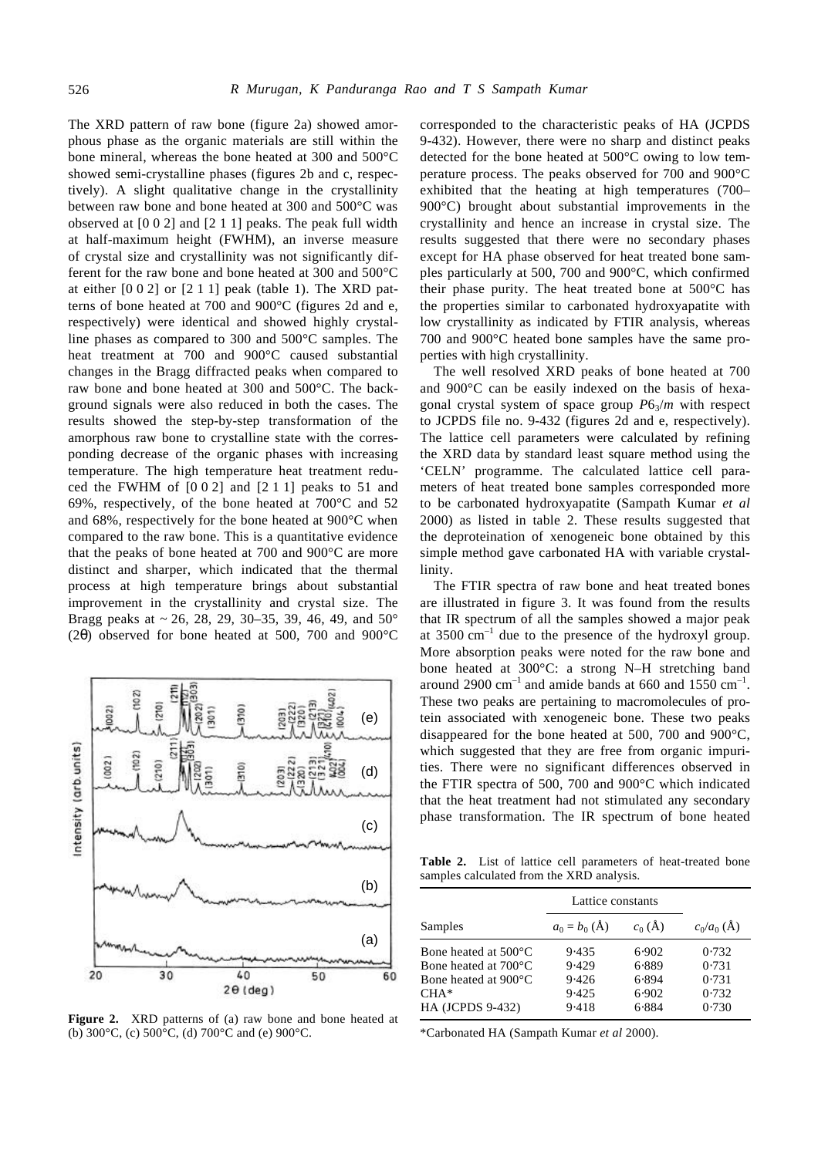The XRD pattern of raw bone (figure 2a) showed amorphous phase as the organic materials are still within the bone mineral, whereas the bone heated at 300 and 500°C showed semi-crystalline phases (figures 2b and c, respectively). A slight qualitative change in the crystallinity between raw bone and bone heated at 300 and 500°C was observed at [0 0 2] and [2 1 1] peaks. The peak full width at half-maximum height (FWHM), an inverse measure of crystal size and crystallinity was not significantly different for the raw bone and bone heated at 300 and 500°C at either  $[0\ 0\ 2]$  or  $[2\ 1\ 1]$  peak (table 1). The XRD patterns of bone heated at 700 and 900°C (figures 2d and e, respectively) were identical and showed highly crystalline phases as compared to 300 and 500°C samples. The heat treatment at 700 and 900°C caused substantial changes in the Bragg diffracted peaks when compared to raw bone and bone heated at 300 and 500°C. The background signals were also reduced in both the cases. The results showed the step-by-step transformation of the amorphous raw bone to crystalline state with the corresponding decrease of the organic phases with increasing temperature. The high temperature heat treatment reduced the FWHM of [0 0 2] and [2 1 1] peaks to 51 and 69%, respectively, of the bone heated at 700°C and 52 and 68%, respectively for the bone heated at 900°C when compared to the raw bone. This is a quantitative evidence that the peaks of bone heated at 700 and 900°C are more distinct and sharper, which indicated that the thermal process at high temperature brings about substantial improvement in the crystallinity and crystal size. The Bragg peaks at  $\sim 26$ , 28, 29, 30–35, 39, 46, 49, and 50 $^{\circ}$ (2*q*) observed for bone heated at 500, 700 and 900°C



**Figure 2.** XRD patterns of (a) raw bone and bone heated at (b)  $300^{\circ}$ C, (c)  $500^{\circ}$ C, (d)  $700^{\circ}$ C and (e)  $900^{\circ}$ C.

corresponded to the characteristic peaks of HA (JCPDS 9-432). However, there were no sharp and distinct peaks detected for the bone heated at 500°C owing to low temperature process. The peaks observed for 700 and 900°C exhibited that the heating at high temperatures (700– 900°C) brought about substantial improvements in the crystallinity and hence an increase in crystal size. The results suggested that there were no secondary phases except for HA phase observed for heat treated bone samples particularly at 500, 700 and 900°C, which confirmed their phase purity. The heat treated bone at 500°C has the properties similar to carbonated hydroxyapatite with low crystallinity as indicated by FTIR analysis, whereas 700 and 900°C heated bone samples have the same properties with high crystallinity.

The well resolved XRD peaks of bone heated at 700 and 900°C can be easily indexed on the basis of hexagonal crystal system of space group  $P6_3/m$  with respect to JCPDS file no. 9-432 (figures 2d and e, respectively). The lattice cell parameters were calculated by refining the XRD data by standard least square method using the 'CELN' programme. The calculated lattice cell parameters of heat treated bone samples corresponded more to be carbonated hydroxyapatite (Sampath Kumar *et al* 2000) as listed in table 2. These results suggested that the deproteination of xenogeneic bone obtained by this simple method gave carbonated HA with variable crystallinity.

The FTIR spectra of raw bone and heat treated bones are illustrated in figure 3. It was found from the results that IR spectrum of all the samples showed a major peak at 3500  $\text{cm}^{-1}$  due to the presence of the hydroxyl group. More absorption peaks were noted for the raw bone and bone heated at 300°C: a strong N–H stretching band around 2900  $\text{cm}^{-1}$  and amide bands at 660 and 1550  $\text{cm}^{-1}$ . These two peaks are pertaining to macromolecules of protein associated with xenogeneic bone. These two peaks disappeared for the bone heated at 500, 700 and 900°C, which suggested that they are free from organic impurities. There were no significant differences observed in the FTIR spectra of 500, 700 and 900°C which indicated that the heat treatment had not stimulated any secondary phase transformation. The IR spectrum of bone heated

**Table 2.** List of lattice cell parameters of heat-treated bone samples calculated from the XRD analysis.

|                                                                                | Lattice constants                |                                  |                                  |
|--------------------------------------------------------------------------------|----------------------------------|----------------------------------|----------------------------------|
| Samples                                                                        | $a_0 = b_0 (\text{\AA})$         | $c_0(\AA)$                       | $c_0/a_0$ (Å)                    |
| Bone heated at 500°C<br>Bone heated at 700°C<br>Bone heated at 900°C<br>$CHA*$ | 9.435<br>9.429<br>9.426<br>9.425 | 6.902<br>6.889<br>6.894<br>6.902 | 0.732<br>0.731<br>0.731<br>0.732 |
| HA (JCPDS 9-432)                                                               | 9.418                            | 6.884                            | 0.730                            |

\*Carbonated HA (Sampath Kumar *et al* 2000).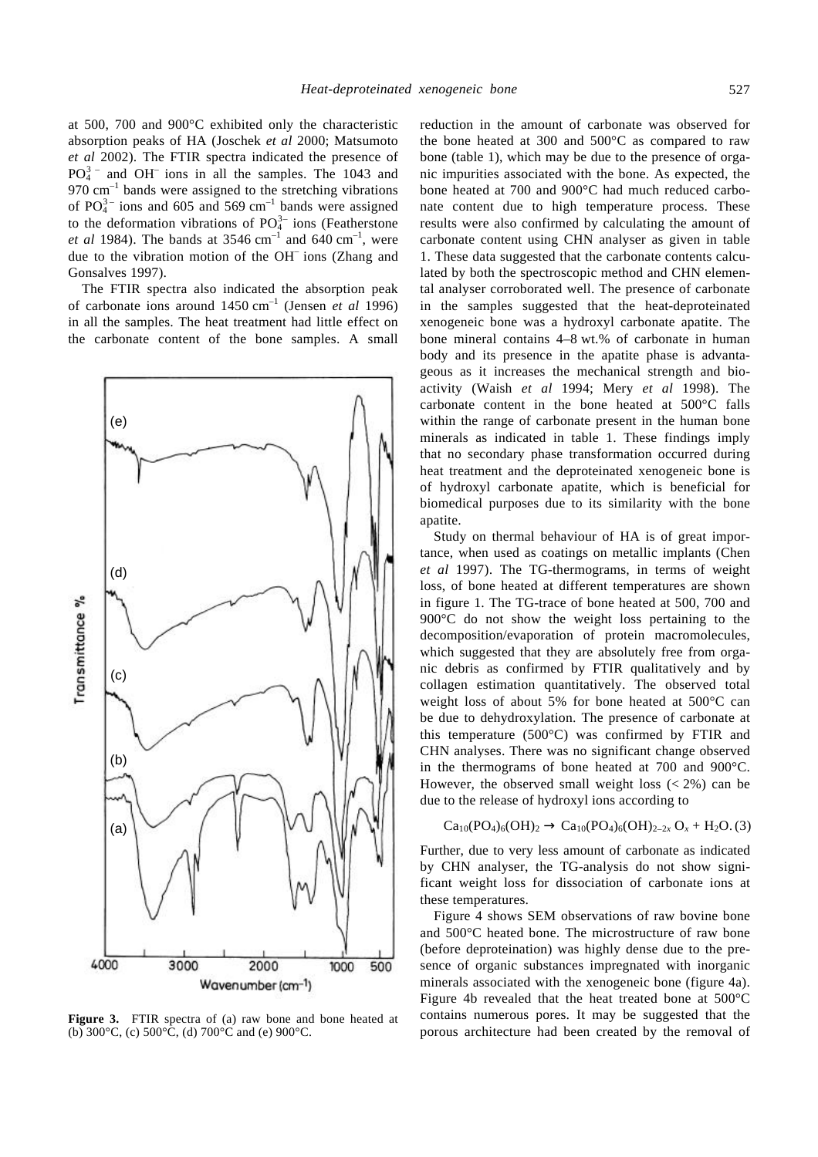at 500, 700 and 900°C exhibited only the characteristic absorption peaks of HA (Joschek *et al* 2000; Matsumoto *et al* 2002). The FTIR spectra indicated the presence of  $PO_4^{3}$  and  $OH^-$  ions in all the samples. The 1043 and  $970 \text{ cm}^{-1}$  bands were assigned to the stretching vibrations of  $PO_4^{3-}$  ions and 605 and 569 cm<sup>-1</sup> bands were assigned to the deformation vibrations of  $PO_4^{3-}$  ions (Featherstone *et al* 1984). The bands at  $3546 \text{ cm}^{-1}$  and  $640 \text{ cm}^{-1}$ , were due to the vibration motion of the OH– ions (Zhang and Gonsalves 1997).

The FTIR spectra also indicated the absorption peak of carbonate ions around 1450 cm–1 (Jensen *et al* 1996) in all the samples. The heat treatment had little effect on the carbonate content of the bone samples. A small



**Figure 3.** FTIR spectra of (a) raw bone and bone heated at (b) 300°C, (c) 500°C, (d) 700°C and (e) 900°C.

reduction in the amount of carbonate was observed for the bone heated at 300 and 500°C as compared to raw bone (table 1), which may be due to the presence of organic impurities associated with the bone. As expected, the bone heated at 700 and 900°C had much reduced carbonate content due to high temperature process. These results were also confirmed by calculating the amount of carbonate content using CHN analyser as given in table 1. These data suggested that the carbonate contents calculated by both the spectroscopic method and CHN elemental analyser corroborated well. The presence of carbonate in the samples suggested that the heat-deproteinated xenogeneic bone was a hydroxyl carbonate apatite. The bone mineral contains 4–8 wt.% of carbonate in human body and its presence in the apatite phase is advantageous as it increases the mechanical strength and bioactivity (Waish *et al* 1994; Mery *et al* 1998). The carbonate content in the bone heated at 500°C falls within the range of carbonate present in the human bone minerals as indicated in table 1. These findings imply that no secondary phase transformation occurred during heat treatment and the deproteinated xenogeneic bone is of hydroxyl carbonate apatite, which is beneficial for biomedical purposes due to its similarity with the bone apatite.

Study on thermal behaviour of HA is of great importance, when used as coatings on metallic implants (Chen *et al* 1997). The TG-thermograms, in terms of weight loss, of bone heated at different temperatures are shown in figure 1. The TG-trace of bone heated at 500, 700 and 900°C do not show the weight loss pertaining to the decomposition/evaporation of protein macromolecules, which suggested that they are absolutely free from organic debris as confirmed by FTIR qualitatively and by collagen estimation quantitatively. The observed total weight loss of about 5% for bone heated at 500°C can be due to dehydroxylation. The presence of carbonate at this temperature (500°C) was confirmed by FTIR and CHN analyses. There was no significant change observed in the thermograms of bone heated at 700 and 900°C. However, the observed small weight loss  $(< 2\%)$  can be due to the release of hydroxyl ions according to

$$
\text{Ca}_{10}(\text{PO}_4)_6(\text{OH})_2 \to \text{Ca}_{10}(\text{PO}_4)_6(\text{OH})_{2-2x} \text{O}_x + \text{H}_2\text{O}. (3)
$$

Further, due to very less amount of carbonate as indicated by CHN analyser, the TG-analysis do not show significant weight loss for dissociation of carbonate ions at these temperatures.

Figure 4 shows SEM observations of raw bovine bone and 500°C heated bone. The microstructure of raw bone (before deproteination) was highly dense due to the presence of organic substances impregnated with inorganic minerals associated with the xenogeneic bone (figure 4a). Figure 4b revealed that the heat treated bone at 500°C contains numerous pores. It may be suggested that the porous architecture had been created by the removal of